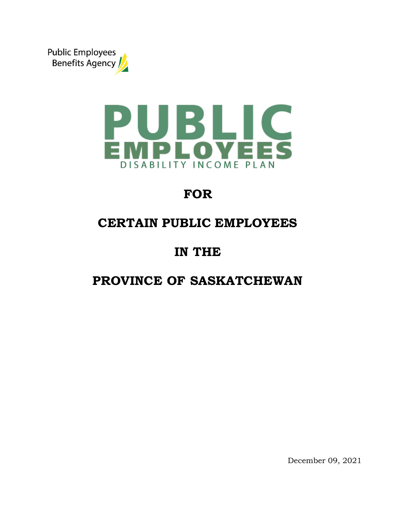



# **FOR**

# **CERTAIN PUBLIC EMPLOYEES**

# **IN THE**

# **PROVINCE OF SASKATCHEWAN**

December 09, 2021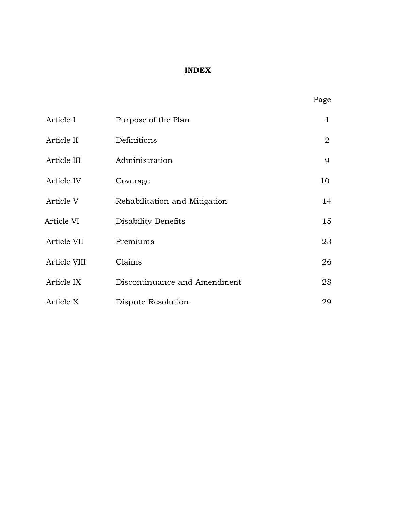## **INDEX**

| Article I    | Purpose of the Plan           | $\mathbf{1}$   |
|--------------|-------------------------------|----------------|
| Article II   | Definitions                   | $\overline{2}$ |
| Article III  | Administration                | 9              |
| Article IV   | Coverage                      | 10             |
| Article V    | Rehabilitation and Mitigation | 14             |
| Article VI   | Disability Benefits           | 15             |
| Article VII  | Premiums                      | 23             |
| Article VIII | Claims                        | 26             |
| Article IX   | Discontinuance and Amendment  | 28             |
| Article X    | Dispute Resolution            | 29             |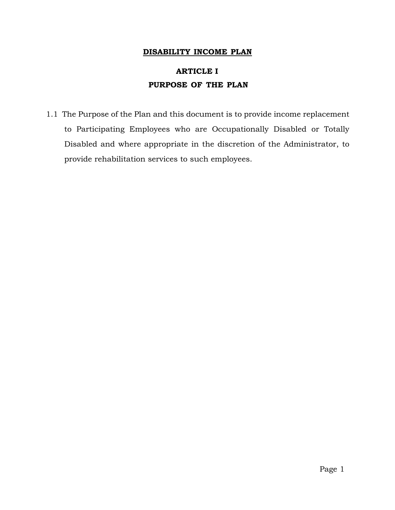#### **DISABILITY INCOME PLAN**

# **ARTICLE I PURPOSE OF THE PLAN**

1.1 The Purpose of the Plan and this document is to provide income replacement to Participating Employees who are Occupationally Disabled or Totally Disabled and where appropriate in the discretion of the Administrator, to provide rehabilitation services to such employees.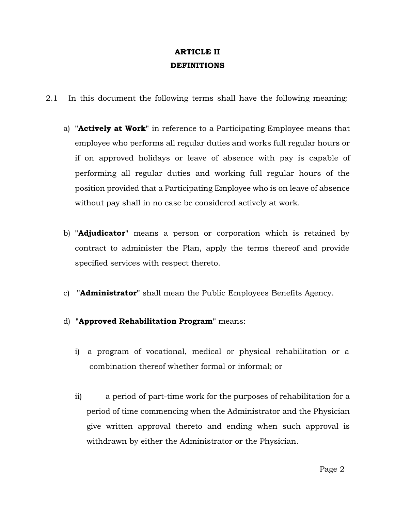## **ARTICLE II DEFINITIONS**

- 2.1 In this document the following terms shall have the following meaning:
	- a) **"Actively at Work"** in reference to a Participating Employee means that employee who performs all regular duties and works full regular hours or if on approved holidays or leave of absence with pay is capable of performing all regular duties and working full regular hours of the position provided that a Participating Employee who is on leave of absence without pay shall in no case be considered actively at work.
	- b) **"Adjudicator"** means a person or corporation which is retained by contract to administer the Plan, apply the terms thereof and provide specified services with respect thereto.
	- c) **"Administrator"** shall mean the Public Employees Benefits Agency.
	- d) **"Approved Rehabilitation Program"** means:
		- i) a program of vocational, medical or physical rehabilitation or a combination thereof whether formal or informal; or
		- ii) a period of part-time work for the purposes of rehabilitation for a period of time commencing when the Administrator and the Physician give written approval thereto and ending when such approval is withdrawn by either the Administrator or the Physician.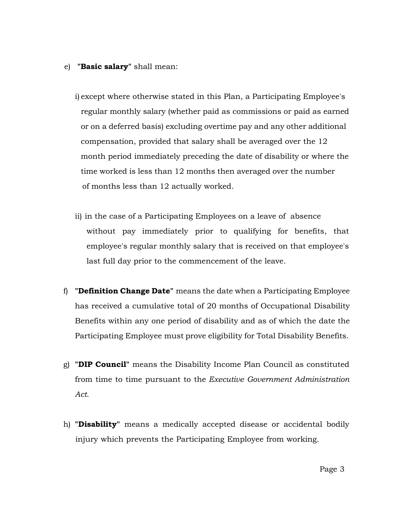- e) **"Basic salary"** shall mean:
	- i) except where otherwise stated in this Plan, a Participating Employee's regular monthly salary (whether paid as commissions or paid as earned or on a deferred basis) excluding overtime pay and any other additional compensation, provided that salary shall be averaged over the 12 month period immediately preceding the date of disability or where the time worked is less than 12 months then averaged over the number of months less than 12 actually worked.
	- ii) in the case of a Participating Employees on a leave of absence without pay immediately prior to qualifying for benefits, that employee's regular monthly salary that is received on that employee's last full day prior to the commencement of the leave.
- f) **"Definition Change Date"** means the date when a Participating Employee has received a cumulative total of 20 months of Occupational Disability Benefits within any one period of disability and as of which the date the Participating Employee must prove eligibility for Total Disability Benefits.
- g) **"DIP Council"** means the Disability Income Plan Council as constituted from time to time pursuant to the *Executive Government Administration Act*.
- h) **"Disability"** means a medically accepted disease or accidental bodily injury which prevents the Participating Employee from working.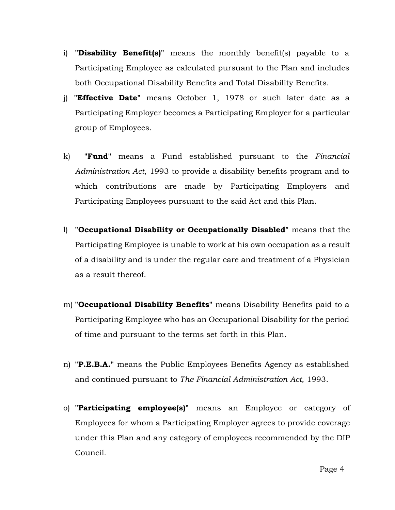- i) **"Disability Benefit(s)"** means the monthly benefit(s) payable to a Participating Employee as calculated pursuant to the Plan and includes both Occupational Disability Benefits and Total Disability Benefits.
- j) **"Effective Date"** means October 1, 1978 or such later date as a Participating Employer becomes a Participating Employer for a particular group of Employees.
- k) **"Fund"** means a Fund established pursuant to the *Financial Administration Act*, 1993 to provide a disability benefits program and to which contributions are made by Participating Employers and Participating Employees pursuant to the said Act and this Plan.
- l) **"Occupational Disability or Occupationally Disabled"** means that the Participating Employee is unable to work at his own occupation as a result of a disability and is under the regular care and treatment of a Physician as a result thereof.
- m) **"Occupational Disability Benefits"** means Disability Benefits paid to a Participating Employee who has an Occupational Disability for the period of time and pursuant to the terms set forth in this Plan.
- n) **"P.E.B.A."** means the Public Employees Benefits Agency as established and continued pursuant to *The Financial Administration Act,* 1993.
- o) **"Participating employee(s)"** means an Employee or category of Employees for whom a Participating Employer agrees to provide coverage under this Plan and any category of employees recommended by the DIP Council.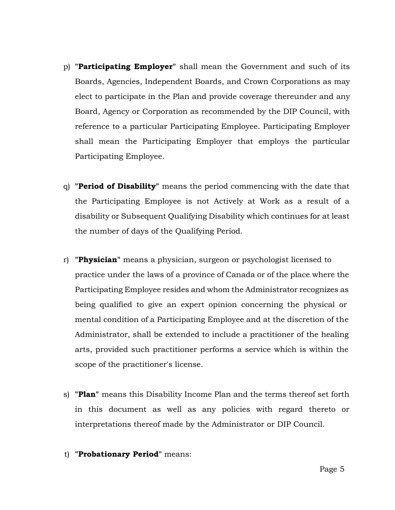- p) **"Participating Employer"** shall mean the Government and such of its Boards, Agencies, Independent Boards, and Crown Corporations as may elect to participate in the Plan and provide coverage thereunder and any Board, Agency or Corporation as recommended by the DIP Council, with reference to a particular Participating Employee. Participating Employer shall mean the Participating Employer that employs the particular Participating Employee.
- q) **"Period of Disability"** means the period commencing with the date that the Participating Employee is not Actively at Work as a result of a disability or Subsequent Qualifying Disability which continues for at least the number of days of the Qualifying Period.
- r) **"Physician"** means a physician, surgeon or psychologist licensed to practice under the laws of a province of Canada or of the place where the Participating Employee resides and whom the Administrator recognizes as being qualified to give an expert opinion concerning the physical or mental condition of a Participating Employee and at the discretion of the Administrator, shall be extended to include a practitioner of the healing arts, provided such practitioner performs a service which is within the scope of the practitioner's license.
- s) **"Plan"** means this Disability Income Plan and the terms thereof set forth in this document as well as any policies with regard thereto or interpretations thereof made by the Administrator or DIP Council.
- t) **"Probationary Period"** means: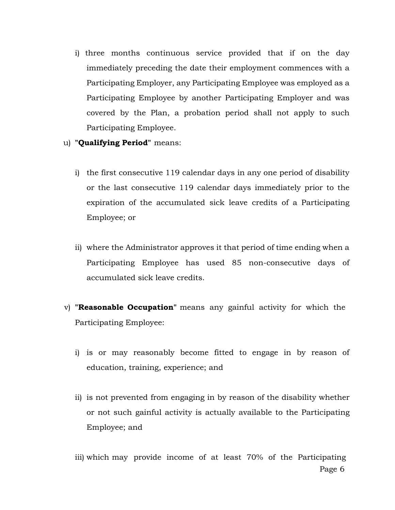- i) three months continuous service provided that if on the day immediately preceding the date their employment commences with a Participating Employer, any Participating Employee was employed as a Participating Employee by another Participating Employer and was covered by the Plan, a probation period shall not apply to such Participating Employee.
- u) **"Qualifying Period"** means:
	- i) the first consecutive 119 calendar days in any one period of disability or the last consecutive 119 calendar days immediately prior to the expiration of the accumulated sick leave credits of a Participating Employee; or
	- ii) where the Administrator approves it that period of time ending when a Participating Employee has used 85 non-consecutive days of accumulated sick leave credits.
- v) **"Reasonable Occupation"** means any gainful activity for which the Participating Employee:
	- i) is or may reasonably become fitted to engage in by reason of education, training, experience; and
	- ii) is not prevented from engaging in by reason of the disability whether or not such gainful activity is actually available to the Participating Employee; and

Page 6 iii) which may provide income of at least 70% of the Participating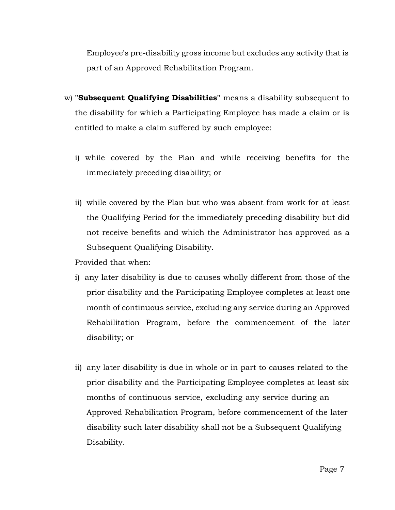Employee's pre-disability gross income but excludes any activity that is part of an Approved Rehabilitation Program.

- w) **"Subsequent Qualifying Disabilities"** means a disability subsequent to the disability for which a Participating Employee has made a claim or is entitled to make a claim suffered by such employee:
	- i) while covered by the Plan and while receiving benefits for the immediately preceding disability; or
	- ii) while covered by the Plan but who was absent from work for at least the Qualifying Period for the immediately preceding disability but did not receive benefits and which the Administrator has approved as a Subsequent Qualifying Disability.

Provided that when:

- i) any later disability is due to causes wholly different from those of the prior disability and the Participating Employee completes at least one month of continuous service, excluding any service during an Approved Rehabilitation Program, before the commencement of the later disability; or
- ii) any later disability is due in whole or in part to causes related to the prior disability and the Participating Employee completes at least six months of continuous service, excluding any service during an Approved Rehabilitation Program, before commencement of the later disability such later disability shall not be a Subsequent Qualifying Disability.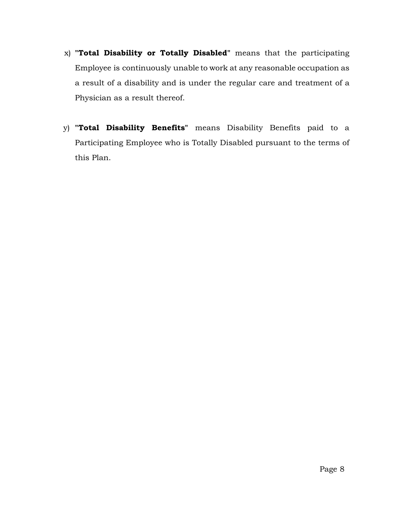- x) **"Total Disability or Totally Disabled"** means that the participating Employee is continuously unable to work at any reasonable occupation as a result of a disability and is under the regular care and treatment of a Physician as a result thereof.
- y) **"Total Disability Benefits"** means Disability Benefits paid to a Participating Employee who is Totally Disabled pursuant to the terms of this Plan.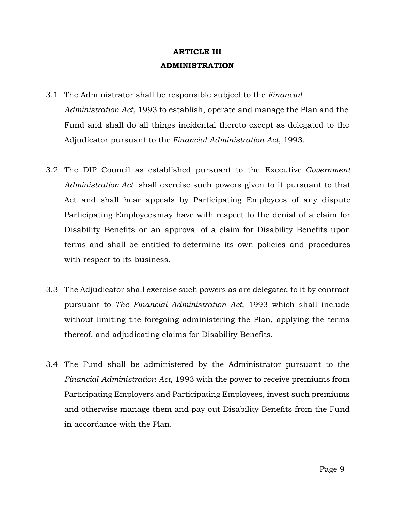## **ARTICLE III ADMINISTRATION**

- 3.1 The Administrator shall be responsible subject to the *Financial Administration Act*, 1993 to establish, operate and manage the Plan and the Fund and shall do all things incidental thereto except as delegated to the Adjudicator pursuant to the *Financial Administration Act*, 1993.
- 3.2 The DIP Council as established pursuant to the Executive *Government Administration Act* shall exercise such powers given to it pursuant to that Act and shall hear appeals by Participating Employees of any dispute Participating Employeesmay have with respect to the denial of a claim for Disability Benefits or an approval of a claim for Disability Benefits upon terms and shall be entitled to determine its own policies and procedures with respect to its business.
- 3.3 The Adjudicator shall exercise such powers as are delegated to it by contract pursuant to *The Financial Administration Act*, 1993 which shall include without limiting the foregoing administering the Plan, applying the terms thereof, and adjudicating claims for Disability Benefits.
- 3.4 The Fund shall be administered by the Administrator pursuant to the *Financial Administration Act*, 1993 with the power to receive premiums from Participating Employers and Participating Employees, invest such premiums and otherwise manage them and pay out Disability Benefits from the Fund in accordance with the Plan.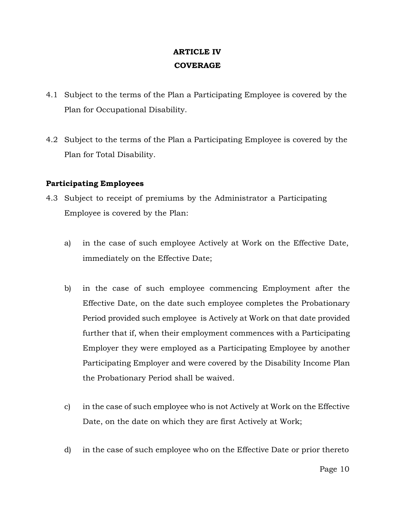## **ARTICLE IV COVERAGE**

- 4.1 Subject to the terms of the Plan a Participating Employee is covered by the Plan for Occupational Disability.
- 4.2 Subject to the terms of the Plan a Participating Employee is covered by the Plan for Total Disability.

#### **Participating Employees**

- 4.3 Subject to receipt of premiums by the Administrator a Participating Employee is covered by the Plan:
	- a) in the case of such employee Actively at Work on the Effective Date, immediately on the Effective Date;
	- b) in the case of such employee commencing Employment after the Effective Date, on the date such employee completes the Probationary Period provided such employee is Actively at Work on that date provided further that if, when their employment commences with a Participating Employer they were employed as a Participating Employee by another Participating Employer and were covered by the Disability Income Plan the Probationary Period shall be waived.
	- c) in the case of such employee who is not Actively at Work on the Effective Date, on the date on which they are first Actively at Work;
	- d) in the case of such employee who on the Effective Date or prior thereto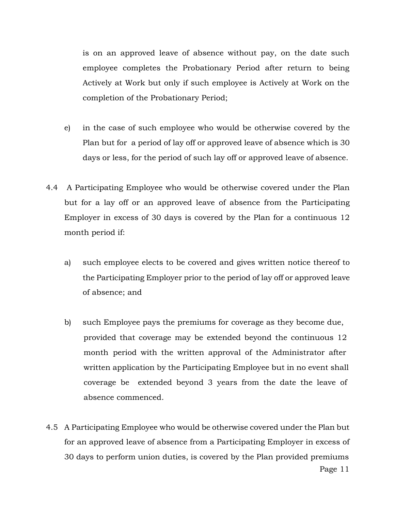is on an approved leave of absence without pay, on the date such employee completes the Probationary Period after return to being Actively at Work but only if such employee is Actively at Work on the completion of the Probationary Period;

- e) in the case of such employee who would be otherwise covered by the Plan but for a period of lay off or approved leave of absence which is 30 days or less, for the period of such lay off or approved leave of absence.
- 4.4 A Participating Employee who would be otherwise covered under the Plan but for a lay off or an approved leave of absence from the Participating Employer in excess of 30 days is covered by the Plan for a continuous 12 month period if:
	- a) such employee elects to be covered and gives written notice thereof to the Participating Employer prior to the period of lay off or approved leave of absence; and
	- b) such Employee pays the premiums for coverage as they become due, provided that coverage may be extended beyond the continuous 12 month period with the written approval of the Administrator after written application by the Participating Employee but in no event shall coverage be extended beyond 3 years from the date the leave of absence commenced.
- 4.5 A Participating Employee who would be otherwise covered under the Plan but for an approved leave of absence from a Participating Employer in excess of 30 days to perform union duties, is covered by the Plan provided premiums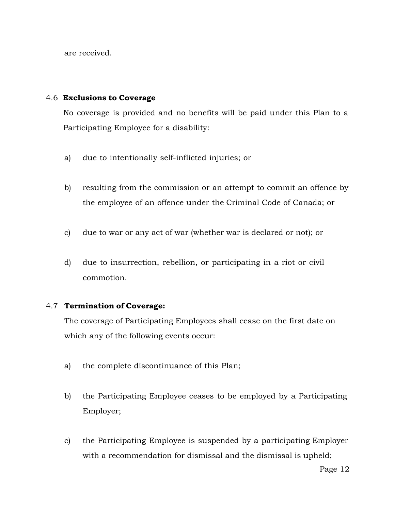are received.

## 4.6 **Exclusions to Coverage**

No coverage is provided and no benefits will be paid under this Plan to a Participating Employee for a disability:

- a) due to intentionally self-inflicted injuries; or
- b) resulting from the commission or an attempt to commit an offence by the employee of an offence under the Criminal Code of Canada; or
- c) due to war or any act of war (whether war is declared or not); or
- d) due to insurrection, rebellion, or participating in a riot or civil commotion.

## 4.7 **Termination of Coverage:**

The coverage of Participating Employees shall cease on the first date on which any of the following events occur:

- a) the complete discontinuance of this Plan;
- b) the Participating Employee ceases to be employed by a Participating Employer;
- c) the Participating Employee is suspended by a participating Employer with a recommendation for dismissal and the dismissal is upheld;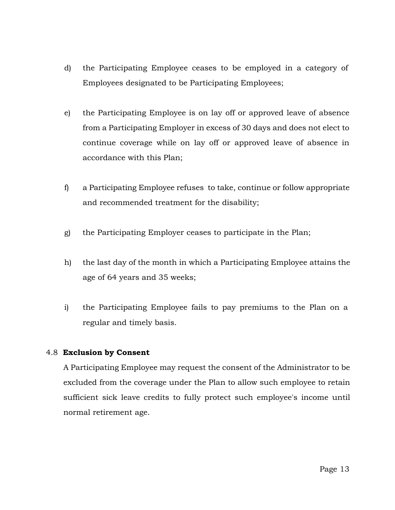- d) the Participating Employee ceases to be employed in a category of Employees designated to be Participating Employees;
- e) the Participating Employee is on lay off or approved leave of absence from a Participating Employer in excess of 30 days and does not elect to continue coverage while on lay off or approved leave of absence in accordance with this Plan;
- f) a Participating Employee refuses to take, continue or follow appropriate and recommended treatment for the disability;
- g) the Participating Employer ceases to participate in the Plan;
- h) the last day of the month in which a Participating Employee attains the age of 64 years and 35 weeks;
- i) the Participating Employee fails to pay premiums to the Plan on a regular and timely basis.

## 4.8 **Exclusion by Consent**

A Participating Employee may request the consent of the Administrator to be excluded from the coverage under the Plan to allow such employee to retain sufficient sick leave credits to fully protect such employee's income until normal retirement age.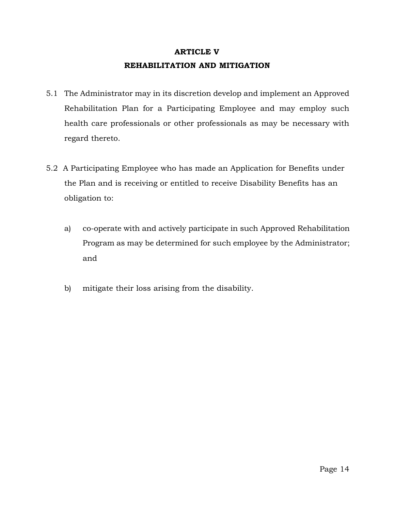# **ARTICLE V REHABILITATION AND MITIGATION**

- 5.1 The Administrator may in its discretion develop and implement an Approved Rehabilitation Plan for a Participating Employee and may employ such health care professionals or other professionals as may be necessary with regard thereto.
- 5.2 A Participating Employee who has made an Application for Benefits under the Plan and is receiving or entitled to receive Disability Benefits has an obligation to:
	- a) co-operate with and actively participate in such Approved Rehabilitation Program as may be determined for such employee by the Administrator; and
	- b) mitigate their loss arising from the disability.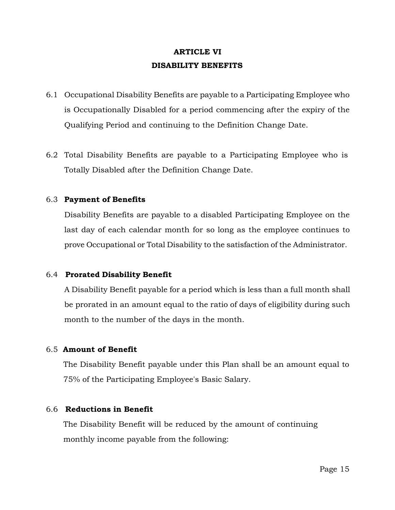# **ARTICLE VI DISABILITY BENEFITS**

- 6.1 Occupational Disability Benefits are payable to a Participating Employee who is Occupationally Disabled for a period commencing after the expiry of the Qualifying Period and continuing to the Definition Change Date.
- 6.2 Total Disability Benefits are payable to a Participating Employee who is Totally Disabled after the Definition Change Date.

#### 6.3 **Payment of Benefits**

Disability Benefits are payable to a disabled Participating Employee on the last day of each calendar month for so long as the employee continues to prove Occupational or Total Disability to the satisfaction of the Administrator.

#### 6.4 **Prorated Disability Benefit**

A Disability Benefit payable for a period which is less than a full month shall be prorated in an amount equal to the ratio of days of eligibility during such month to the number of the days in the month.

#### 6.5 **Amount of Benefit**

The Disability Benefit payable under this Plan shall be an amount equal to 75% of the Participating Employee's Basic Salary.

## 6.6 **Reductions in Benefit**

The Disability Benefit will be reduced by the amount of continuing monthly income payable from the following: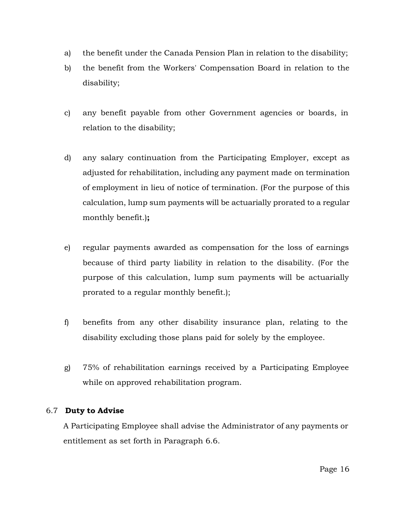- a) the benefit under the Canada Pension Plan in relation to the disability;
- b) the benefit from the Workers' Compensation Board in relation to the disability;
- c) any benefit payable from other Government agencies or boards, in relation to the disability;
- d) any salary continuation from the Participating Employer, except as adjusted for rehabilitation, including any payment made on termination of employment in lieu of notice of termination. (For the purpose of this calculation, lump sum payments will be actuarially prorated to a regular monthly benefit.)**;**
- e) regular payments awarded as compensation for the loss of earnings because of third party liability in relation to the disability. (For the purpose of this calculation, lump sum payments will be actuarially prorated to a regular monthly benefit.);
- f) benefits from any other disability insurance plan, relating to the disability excluding those plans paid for solely by the employee.
- g) 75% of rehabilitation earnings received by a Participating Employee while on approved rehabilitation program.

## 6.7 **Duty to Advise**

A Participating Employee shall advise the Administrator of any payments or entitlement as set forth in Paragraph 6.6.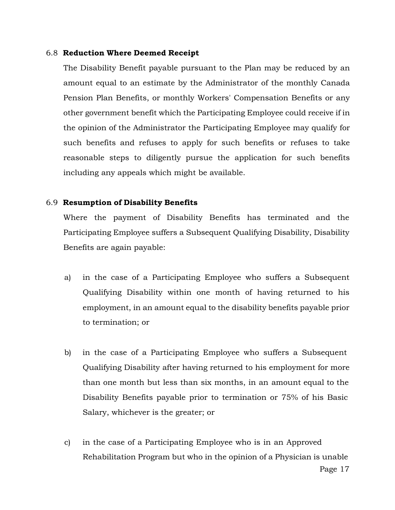#### 6.8 **Reduction Where Deemed Receipt**

The Disability Benefit payable pursuant to the Plan may be reduced by an amount equal to an estimate by the Administrator of the monthly Canada Pension Plan Benefits, or monthly Workers' Compensation Benefits or any other government benefit which the Participating Employee could receive if in the opinion of the Administrator the Participating Employee may qualify for such benefits and refuses to apply for such benefits or refuses to take reasonable steps to diligently pursue the application for such benefits including any appeals which might be available.

#### 6.9 **Resumption of Disability Benefits**

Where the payment of Disability Benefits has terminated and the Participating Employee suffers a Subsequent Qualifying Disability, Disability Benefits are again payable:

- a) in the case of a Participating Employee who suffers a Subsequent Qualifying Disability within one month of having returned to his employment, in an amount equal to the disability benefits payable prior to termination; or
- b) in the case of a Participating Employee who suffers a Subsequent Qualifying Disability after having returned to his employment for more than one month but less than six months, in an amount equal to the Disability Benefits payable prior to termination or 75% of his Basic Salary, whichever is the greater; or
- c) in the case of a Participating Employee who is in an Approved Rehabilitation Program but who in the opinion of a Physician is unable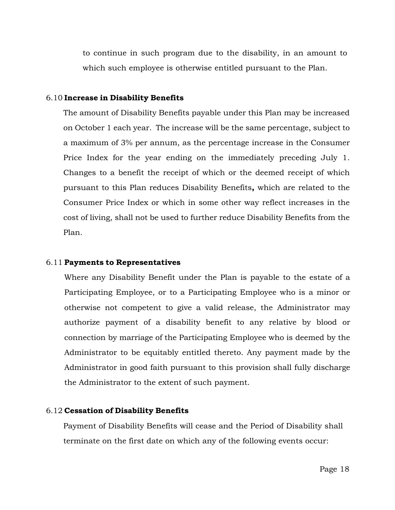to continue in such program due to the disability, in an amount to which such employee is otherwise entitled pursuant to the Plan.

#### 6.10 **Increase in Disability Benefits**

The amount of Disability Benefits payable under this Plan may be increased on October 1 each year. The increase will be the same percentage, subject to a maximum of 3% per annum, as the percentage increase in the Consumer Price Index for the year ending on the immediately preceding July 1. Changes to a benefit the receipt of which or the deemed receipt of which pursuant to this Plan reduces Disability Benefits**,** which are related to the Consumer Price Index or which in some other way reflect increases in the cost of living, shall not be used to further reduce Disability Benefits from the Plan.

#### 6.11 **Payments to Representatives**

Where any Disability Benefit under the Plan is payable to the estate of a Participating Employee, or to a Participating Employee who is a minor or otherwise not competent to give a valid release, the Administrator may authorize payment of a disability benefit to any relative by blood or connection by marriage of the Participating Employee who is deemed by the Administrator to be equitably entitled thereto. Any payment made by the Administrator in good faith pursuant to this provision shall fully discharge the Administrator to the extent of such payment.

#### 6.12 **Cessation of Disability Benefits**

Payment of Disability Benefits will cease and the Period of Disability shall terminate on the first date on which any of the following events occur: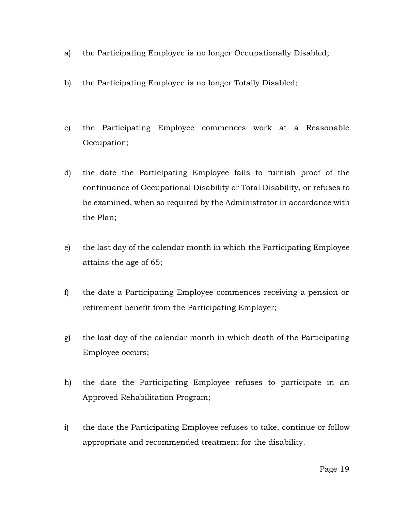- a) the Participating Employee is no longer Occupationally Disabled;
- b) the Participating Employee is no longer Totally Disabled;
- c) the Participating Employee commences work at a Reasonable Occupation;
- d) the date the Participating Employee fails to furnish proof of the continuance of Occupational Disability or Total Disability, or refuses to be examined, when so required by the Administrator in accordance with the Plan;
- e) the last day of the calendar month in which the Participating Employee attains the age of 65;
- f) the date a Participating Employee commences receiving a pension or retirement benefit from the Participating Employer;
- g) the last day of the calendar month in which death of the Participating Employee occurs;
- h) the date the Participating Employee refuses to participate in an Approved Rehabilitation Program;
- i) the date the Participating Employee refuses to take, continue or follow appropriate and recommended treatment for the disability.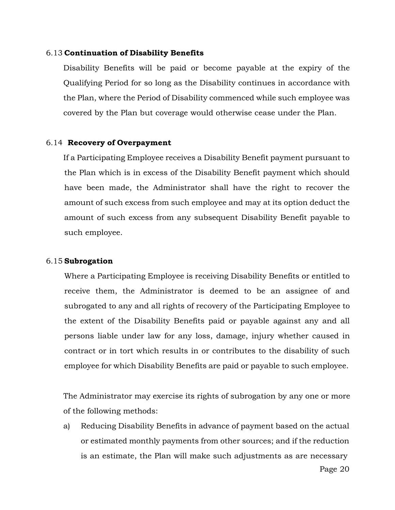#### 6.13 **Continuation of Disability Benefits**

Disability Benefits will be paid or become payable at the expiry of the Qualifying Period for so long as the Disability continues in accordance with the Plan, where the Period of Disability commenced while such employee was covered by the Plan but coverage would otherwise cease under the Plan.

#### 6.14 **Recovery of Overpayment**

If a Participating Employee receives a Disability Benefit payment pursuant to the Plan which is in excess of the Disability Benefit payment which should have been made, the Administrator shall have the right to recover the amount of such excess from such employee and may at its option deduct the amount of such excess from any subsequent Disability Benefit payable to such employee.

#### 6.15 **Subrogation**

Where a Participating Employee is receiving Disability Benefits or entitled to receive them, the Administrator is deemed to be an assignee of and subrogated to any and all rights of recovery of the Participating Employee to the extent of the Disability Benefits paid or payable against any and all persons liable under law for any loss, damage, injury whether caused in contract or in tort which results in or contributes to the disability of such employee for which Disability Benefits are paid or payable to such employee.

The Administrator may exercise its rights of subrogation by any one or more of the following methods:

a) Reducing Disability Benefits in advance of payment based on the actual or estimated monthly payments from other sources; and if the reduction is an estimate, the Plan will make such adjustments as are necessary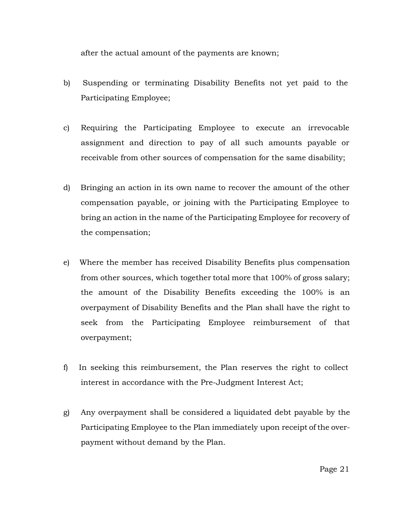after the actual amount of the payments are known;

- b) Suspending or terminating Disability Benefits not yet paid to the Participating Employee;
- c) Requiring the Participating Employee to execute an irrevocable assignment and direction to pay of all such amounts payable or receivable from other sources of compensation for the same disability;
- d) Bringing an action in its own name to recover the amount of the other compensation payable, or joining with the Participating Employee to bring an action in the name of the Participating Employee for recovery of the compensation;
- e) Where the member has received Disability Benefits plus compensation from other sources, which together total more that 100% of gross salary; the amount of the Disability Benefits exceeding the 100% is an overpayment of Disability Benefits and the Plan shall have the right to seek from the Participating Employee reimbursement of that overpayment;
- f) In seeking this reimbursement, the Plan reserves the right to collect interest in accordance with the Pre-Judgment Interest Act;
- g) Any overpayment shall be considered a liquidated debt payable by the Participating Employee to the Plan immediately upon receipt of the overpayment without demand by the Plan.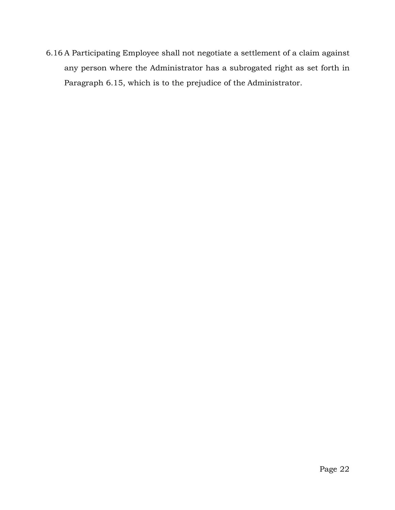6.16 A Participating Employee shall not negotiate a settlement of a claim against any person where the Administrator has a subrogated right as set forth in Paragraph 6.15, which is to the prejudice of the Administrator.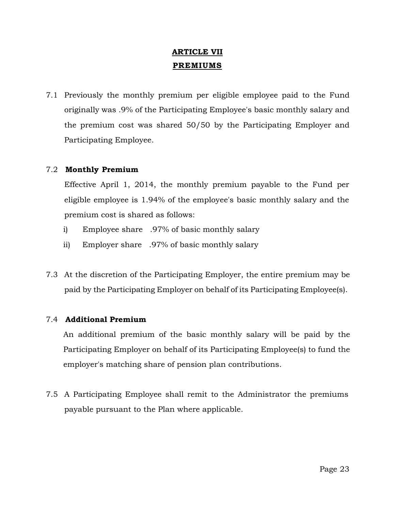# **ARTICLE VII PREMIUMS**

7.1 Previously the monthly premium per eligible employee paid to the Fund originally was .9% of the Participating Employee's basic monthly salary and the premium cost was shared 50/50 by the Participating Employer and Participating Employee.

## 7.2 **Monthly Premium**

Effective April 1, 2014, the monthly premium payable to the Fund per eligible employee is 1.94% of the employee's basic monthly salary and the premium cost is shared as follows:

- i) Employee share .97% of basic monthly salary
- ii) Employer share .97% of basic monthly salary
- 7.3 At the discretion of the Participating Employer, the entire premium may be paid by the Participating Employer on behalf of its Participating Employee(s).

## 7.4 **Additional Premium**

An additional premium of the basic monthly salary will be paid by the Participating Employer on behalf of its Participating Employee(s) to fund the employer's matching share of pension plan contributions.

7.5 A Participating Employee shall remit to the Administrator the premiums payable pursuant to the Plan where applicable.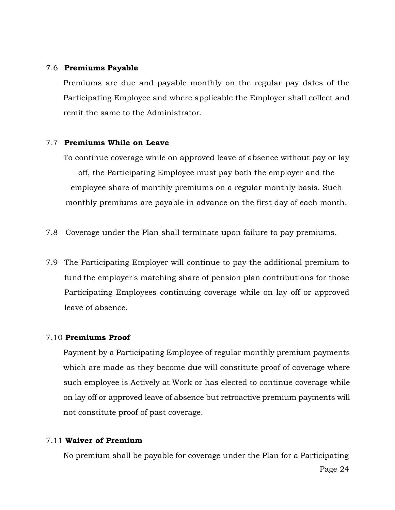#### 7.6 **Premiums Payable**

Premiums are due and payable monthly on the regular pay dates of the Participating Employee and where applicable the Employer shall collect and remit the same to the Administrator.

## 7.7 **Premiums While on Leave**

To continue coverage while on approved leave of absence without pay or lay off, the Participating Employee must pay both the employer and the employee share of monthly premiums on a regular monthly basis. Such monthly premiums are payable in advance on the first day of each month.

- 7.8 Coverage under the Plan shall terminate upon failure to pay premiums.
- 7.9 The Participating Employer will continue to pay the additional premium to fund the employer's matching share of pension plan contributions for those Participating Employees continuing coverage while on lay off or approved leave of absence.

#### 7.10 **Premiums Proof**

Payment by a Participating Employee of regular monthly premium payments which are made as they become due will constitute proof of coverage where such employee is Actively at Work or has elected to continue coverage while on lay off or approved leave of absence but retroactive premium payments will not constitute proof of past coverage.

#### 7.11 **Waiver of Premium**

No premium shall be payable for coverage under the Plan for a Participating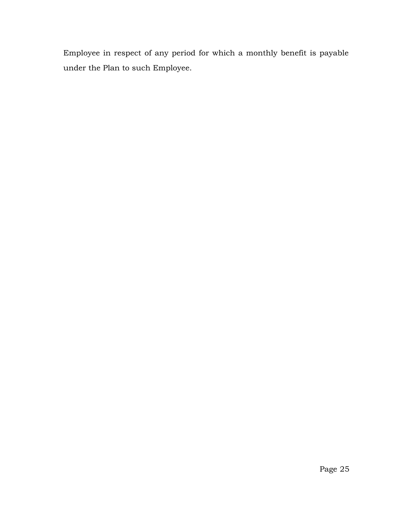Employee in respect of any period for which a monthly benefit is payable under the Plan to such Employee.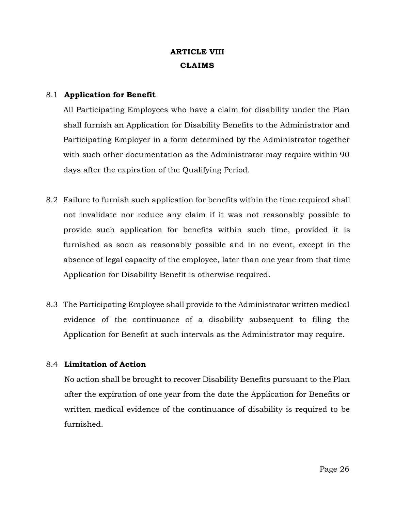# **ARTICLE VIII CLAIMS**

## 8.1 **Application for Benefit**

All Participating Employees who have a claim for disability under the Plan shall furnish an Application for Disability Benefits to the Administrator and Participating Employer in a form determined by the Administrator together with such other documentation as the Administrator may require within 90 days after the expiration of the Qualifying Period.

- 8.2 Failure to furnish such application for benefits within the time required shall not invalidate nor reduce any claim if it was not reasonably possible to provide such application for benefits within such time, provided it is furnished as soon as reasonably possible and in no event, except in the absence of legal capacity of the employee, later than one year from that time Application for Disability Benefit is otherwise required.
- 8.3 The Participating Employee shall provide to the Administrator written medical evidence of the continuance of a disability subsequent to filing the Application for Benefit at such intervals as the Administrator may require.

## 8.4 **Limitation of Action**

No action shall be brought to recover Disability Benefits pursuant to the Plan after the expiration of one year from the date the Application for Benefits or written medical evidence of the continuance of disability is required to be furnished.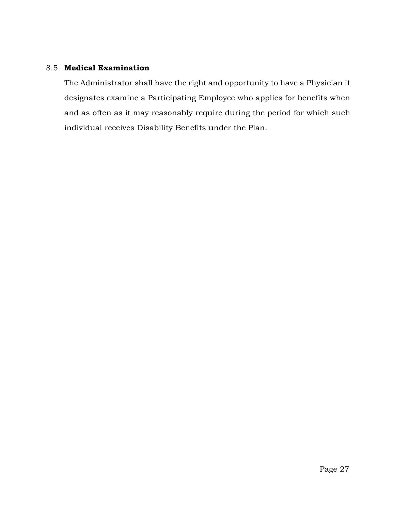## 8.5 **Medical Examination**

The Administrator shall have the right and opportunity to have a Physician it designates examine a Participating Employee who applies for benefits when and as often as it may reasonably require during the period for which such individual receives Disability Benefits under the Plan.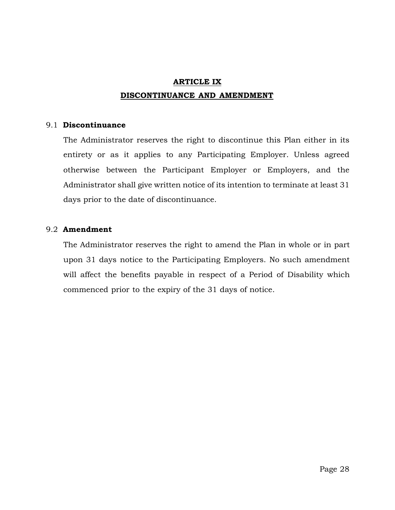# **ARTICLE IX DISCONTINUANCE AND AMENDMENT**

#### 9.1 **Discontinuance**

The Administrator reserves the right to discontinue this Plan either in its entirety or as it applies to any Participating Employer. Unless agreed otherwise between the Participant Employer or Employers, and the Administrator shall give written notice of its intention to terminate at least 31 days prior to the date of discontinuance.

## 9.2 **Amendment**

The Administrator reserves the right to amend the Plan in whole or in part upon 31 days notice to the Participating Employers. No such amendment will affect the benefits payable in respect of a Period of Disability which commenced prior to the expiry of the 31 days of notice.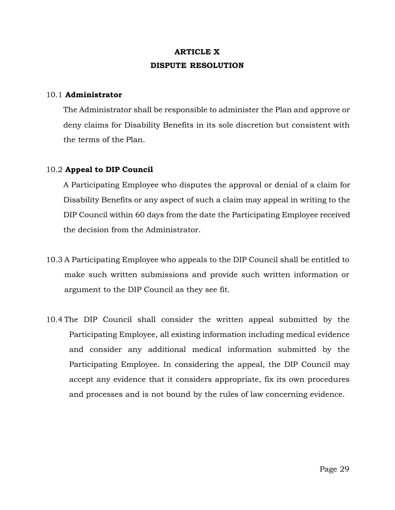# **ARTICLE X DISPUTE RESOLUTION**

#### 10.1 **Administrator**

The Administrator shall be responsible to administer the Plan and approve or deny claims for Disability Benefits in its sole discretion but consistent with the terms of the Plan.

#### 10.2 **Appeal to DIP Council**

A Participating Employee who disputes the approval or denial of a claim for Disability Benefits or any aspect of such a claim may appeal in writing to the DIP Council within 60 days from the date the Participating Employee received the decision from the Administrator.

- 10.3 A Participating Employee who appeals to the DIP Council shall be entitled to make such written submissions and provide such written information or argument to the DIP Council as they see fit.
- 10.4 The DIP Council shall consider the written appeal submitted by the Participating Employee, all existing information including medical evidence and consider any additional medical information submitted by the Participating Employee. In considering the appeal, the DIP Council may accept any evidence that it considers appropriate, fix its own procedures and processes and is not bound by the rules of law concerning evidence.